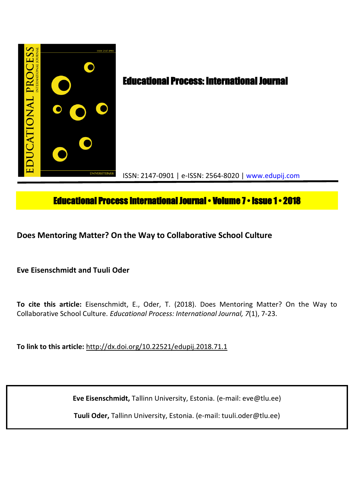

# **Educational Process International Journal • Volume 7 • Issue 1 • 2018**

**Does Mentoring Matter? On the Way to Collaborative School Culture**

**Eve Eisenschmidt and Tuuli Oder**

**To cite this article:** Eisenschmidt, E., Oder, T. (2018). Does Mentoring Matter? On the Way to Collaborative School Culture. *Educational Process: International Journal, 7*(1), 7-23.

**To link to this article:** http://dx.doi.org/10.22521/edupij.2018.71.1

**Eve Eisenschmidt,** Tallinn University, Estonia. (e-mail: eve@tlu.ee)

**Tuuli Oder,** Tallinn University, Estonia. (e-mail: tuuli.oder@tlu.ee)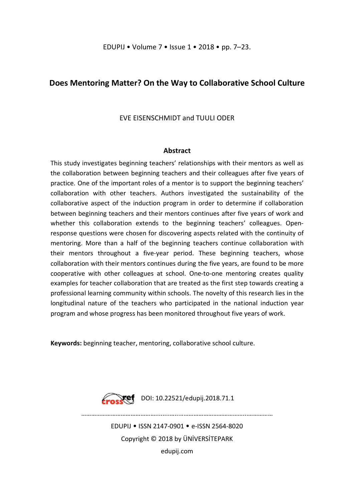## **Does Mentoring Matter? On the Way to Collaborative School Culture**

EVE EISENSCHMIDT and TUULI ODER

## **Abstract**

This study investigates beginning teachers' relationships with their mentors as well as the collaboration between beginning teachers and their colleagues after five years of practice. One of the important roles of a mentor is to support the beginning teachers' collaboration with other teachers. Authors investigated the sustainability of the collaborative aspect of the induction program in order to determine if collaboration between beginning teachers and their mentors continues after five years of work and whether this collaboration extends to the beginning teachers' colleagues. Openresponse questions were chosen for discovering aspects related with the continuity of mentoring. More than a half of the beginning teachers continue collaboration with their mentors throughout a five-year period. These beginning teachers, whose collaboration with their mentors continues during the five years, are found to be more cooperative with other colleagues at school. One-to-one mentoring creates quality examples for teacher collaboration that are treated as the first step towards creating a professional learning community within schools. The novelty of this research lies in the longitudinal nature of the teachers who participated in the national induction year program and whose progress has been monitored throughout five years of work.

**Keywords:** beginning teacher, mentoring, collaborative school culture.



**Froskef** DOI: 10.22521/edupij.2018.71.1

EDUPIJ • ISSN 2147-0901 • e-ISSN 2564-8020 Copyright © 2018 by ÜNİVERSİTEPARK edupij.com

………………………………………........….....………………………………...……………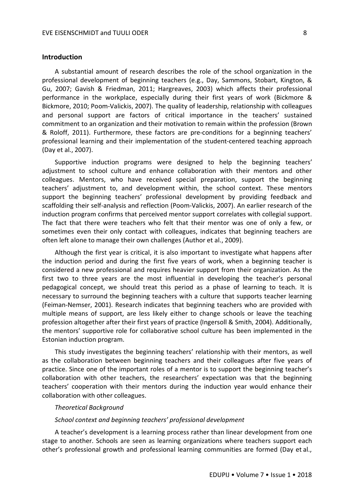## **Introduction**

A substantial amount of research describes the role of the school organization in the professional development of beginning teachers (e.g., Day, Sammons, Stobart, Kington, & Gu, 2007; Gavish & Friedman, 2011; Hargreaves, 2003) which affects their professional performance in the workplace, especially during their first years of work (Bickmore & Bickmore, 2010; Poom-Valickis, 2007). The quality of leadership, relationship with colleagues and personal support are factors of critical importance in the teachers' sustained commitment to an organization and their motivation to remain within the profession (Brown & Roloff, 2011). Furthermore, these factors are pre-conditions for a beginning teachers' professional learning and their implementation of the student-centered teaching approach (Day et al., 2007).

Supportive induction programs were designed to help the beginning teachers' adjustment to school culture and enhance collaboration with their mentors and other colleagues. Mentors, who have received special preparation, support the beginning teachers' adjustment to, and development within, the school context. These mentors support the beginning teachers' professional development by providing feedback and scaffolding their self-analysis and reflection (Poom-Valickis, 2007). An earlier research of the induction program confirms that perceived mentor support correlates with collegial support. The fact that there were teachers who felt that their mentor was one of only a few, or sometimes even their only contact with colleagues, indicates that beginning teachers are often left alone to manage their own challenges (Author et al., 2009).

Although the first year is critical, it is also important to investigate what happens after the induction period and during the first five years of work, when a beginning teacher is considered a new professional and requires heavier support from their organization. As the first two to three years are the most influential in developing the teacher's personal pedagogical concept, we should treat this period as a phase of learning to teach. It is necessary to surround the beginning teachers with a culture that supports teacher learning (Feiman-Nemser, 2001). Research indicates that beginning teachers who are provided with multiple means of support, are less likely either to change schools or leave the teaching profession altogether after their first years of practice (Ingersoll & Smith, 2004). Additionally, the mentors' supportive role for collaborative school culture has been implemented in the Estonian induction program.

This study investigates the beginning teachers' relationship with their mentors, as well as the collaboration between beginning teachers and their colleagues after five years of practice. Since one of the important roles of a mentor is to support the beginning teacher's collaboration with other teachers, the researchers' expectation was that the beginning teachers' cooperation with their mentors during the induction year would enhance their collaboration with other colleagues.

#### *Theoretical Background*

#### *School context and beginning teachers' professional development*

A teacher's development is a learning process rather than linear development from one stage to another. Schools are seen as learning organizations where teachers support each other's professional growth and professional learning communities are formed (Day et al.,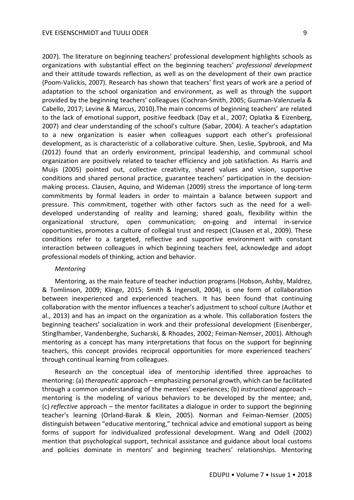2007). The literature on beginning teachers' professional development highlights schools as organizations with substantial effect on the beginning teachers' *professional development*  and their attitude towards reflection, as well as on the development of their own practice (Poom-Valickis, 2007). Research has shown that teachers' first years of work are a period of adaptation to the school organization and environment, as well as through the support provided by the beginning teachers' colleagues (Cochran-Smith, 2005; Guzman-Valenzuela & Cabello, 2017; Levine & Marcus, 2010).The main concerns of beginning teachers' are related to the lack of emotional support, positive feedback (Day et al., 2007; Oplatka & Eizenberg, 2007) and clear understanding of the school's culture (Sabar, 2004). A teacher's adaptation to a new organization is easier when colleagues support each other's professional development, as is characteristic of a collaborative culture. Shen, Leslie, Spybrook, and Ma (2012) found that an orderly environment, principal leadership, and communal school organization are positively related to teacher efficiency and job satisfaction. As Harris and Muijs (2005) pointed out, collective creativity, shared values and vision, supportive conditions and shared personal practice, guarantee teachers' participation in the decisionmaking process. Clausen, Aquino, and Wideman (2009) stress the importance of long-term commitments by formal leaders in order to maintain a balance between support and pressure. This commitment, together with other factors such as the need for a welldeveloped understanding of reality and learning; shared goals, flexibility within the organizational structure, open communication; on-going and internal in-service opportunities, promotes a culture of collegial trust and respect (Clausen et al., 2009). These conditions refer to a targeted, reflective and supportive environment with constant interaction between colleagues in which beginning teachers feel, acknowledge and adopt professional models of thinking, action and behavior.

#### *Mentoring*

Mentoring, as the main feature of teacher induction programs (Hobson, Ashby, Maldrez, & Tomlinson, 2009; Klinge, 2015; Smith & Ingersoll, 2004), is one form of collaboration between inexperienced and experienced teachers. It has been found that continuing collaboration with the mentor influences a teacher's adjustment to school culture (Author et al., 2013) and has an impact on the organization as a whole. This collaboration fosters the beginning teachers' socialization in work and their professional development (Eisenberger, Stinglhamber, Vandenberghe, Sucharski, & Rhoades, 2002; Feiman-Nemser, 2001). Although mentoring as a concept has many interpretations that focus on the support for beginning teachers, this concept provides reciprocal opportunities for more experienced teachers' through continual learning from colleagues.

Research on the conceptual idea of mentorship identified three approaches to mentoring: (a) *therapeutic* approach – emphasizing personal growth, which can be facilitated through a common understanding of the mentees' experiences; (b) *instructional* approach – mentoring is the modeling of various behaviors to be developed by the mentee; and, (c) *reflective* approach – the mentor facilitates a dialogue in order to support the beginning teacher's learning (Orland-Barak & Klein, 2005). Norman and Feiman-Nemser (2005) distinguish between "educative mentoring," technical advice and emotional support as being forms of support for individualized professional development. Wang and Odell (2002) mention that psychological support, technical assistance and guidance about local customs and policies dominate in mentors' and beginning teachers' relationships. Mentoring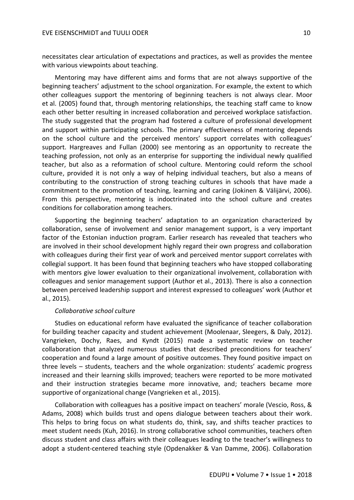necessitates clear articulation of expectations and practices, as well as provides the mentee with various viewpoints about teaching.

Mentoring may have different aims and forms that are not always supportive of the beginning teachers' adjustment to the school organization. For example, the extent to which other colleagues support the mentoring of beginning teachers is not always clear. Moor et al. (2005) found that, through mentoring relationships, the teaching staff came to know each other better resulting in increased collaboration and perceived workplace satisfaction. The study suggested that the program had fostered a culture of professional development and support within participating schools. The primary effectiveness of mentoring depends on the school culture and the perceived mentors' support correlates with colleagues' support. Hargreaves and Fullan (2000) see mentoring as an opportunity to recreate the teaching profession, not only as an enterprise for supporting the individual newly qualified teacher, but also as a reformation of school culture. Mentoring could reform the school culture, provided it is not only a way of helping individual teachers, but also a means of contributing to the construction of strong teaching cultures in schools that have made a commitment to the promotion of teaching, learning and caring (Jokinen & Välijärvi, 2006). From this perspective, mentoring is indoctrinated into the school culture and creates conditions for collaboration among teachers.

Supporting the beginning teachers' adaptation to an organization characterized by collaboration, sense of involvement and senior management support, is a very important factor of the Estonian induction program. Earlier research has revealed that teachers who are involved in their school development highly regard their own progress and collaboration with colleagues during their first year of work and perceived mentor support correlates with collegial support. It has been found that beginning teachers who have stopped collaborating with mentors give lower evaluation to their organizational involvement, collaboration with colleagues and senior management support (Author et al., 2013). There is also a connection between perceived leadership support and interest expressed to colleagues' work (Author et al., 2015).

## *Collaborative school culture*

Studies on educational reform have evaluated the significance of teacher collaboration for building teacher capacity and student achievement (Moolenaar, Sleegers, & Daly, 2012). Vangrieken, Dochy, Raes, and Kyndt (2015) made a systematic review on teacher collaboration that analyzed numerous studies that described preconditions for teachers' cooperation and found a large amount of positive outcomes. They found positive impact on three levels – students, teachers and the whole organization: students' academic progress increased and their learning skills improved; teachers were reported to be more motivated and their instruction strategies became more innovative, and; teachers became more supportive of organizational change (Vangrieken et al., 2015).

Collaboration with colleagues has a positive impact on teachers' morale (Vescio, Ross, & Adams, 2008) which builds trust and opens dialogue between teachers about their work. This helps to bring focus on what students do, think, say, and shifts teacher practices to meet student needs (Kuh, 2016). In strong collaborative school communities, teachers often discuss student and class affairs with their colleagues leading to the teacher's willingness to adopt a student-centered teaching style (Opdenakker & Van Damme, 2006). Collaboration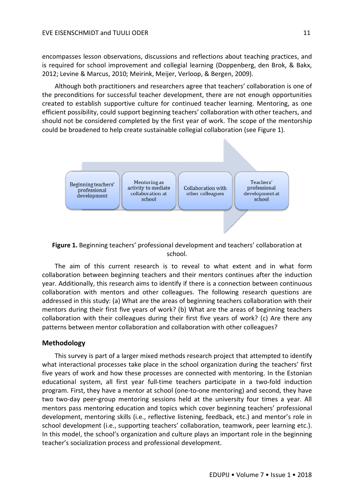encompasses lesson observations, discussions and reflections about teaching practices, and is required for school improvement and collegial learning (Doppenberg, den Brok, & Bakx, 2012; Levine & Marcus, 2010; Meirink, Meijer, Verloop, & Bergen, 2009).

Although both practitioners and researchers agree that teachers' collaboration is one of the preconditions for successful teacher development, there are not enough opportunities created to establish supportive culture for continued teacher learning. Mentoring, as one efficient possibility, could support beginning teachers' collaboration with other teachers, and should not be considered completed by the first year of work. The scope of the mentorship could be broadened to help create sustainable collegial collaboration (see Figure 1).



**Figure 1.** Beginning teachers' professional development and teachers' collaboration at school.

The aim of this current research is to reveal to what extent and in what form collaboration between beginning teachers and their mentors continues after the induction year. Additionally, this research aims to identify if there is a connection between continuous collaboration with mentors and other colleagues. The following research questions are addressed in this study: (a) What are the areas of beginning teachers collaboration with their mentors during their first five years of work? (b) What are the areas of beginning teachers collaboration with their colleagues during their first five years of work? (c) Are there any patterns between mentor collaboration and collaboration with other colleagues?

## **Methodology**

This survey is part of a larger mixed methods research project that attempted to identify what interactional processes take place in the school organization during the teachers' first five years of work and how these processes are connected with mentoring. In the Estonian educational system, all first year full-time teachers participate in a two-fold induction program. First, they have a mentor at school (one-to-one mentoring) and second, they have two two-day peer-group mentoring sessions held at the university four times a year. All mentors pass mentoring education and topics which cover beginning teachers' professional development, mentoring skills (i.e., reflective listening, feedback, etc.) and mentor's role in school development (i.e., supporting teachers' collaboration, teamwork, peer learning etc.). In this model, the school's organization and culture plays an important role in the beginning teacher's socialization process and professional development.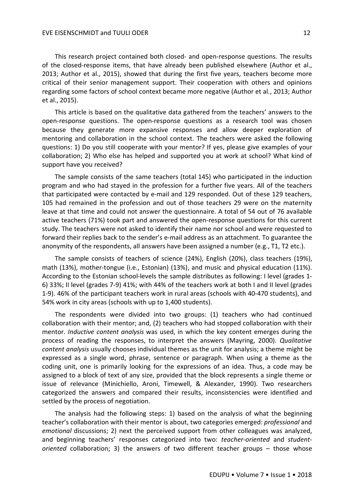This research project contained both closed- and open-response questions. The results of the closed-response items, that have already been published elsewhere (Author et al., 2013; Author et al., 2015), showed that during the first five years, teachers become more critical of their senior management support. Their cooperation with others and opinions regarding some factors of school context became more negative (Author et al., 2013; Author et al., 2015).

This article is based on the qualitative data gathered from the teachers' answers to the open-response questions. The open-response questions as a research tool was chosen because they generate more expansive responses and allow deeper exploration of mentoring and collaboration in the school context. The teachers were asked the following questions: 1) Do you still cooperate with your mentor? If yes, please give examples of your collaboration; 2) Who else has helped and supported you at work at school? What kind of support have you received?

The sample consists of the same teachers (total 145) who participated in the induction program and who had stayed in the profession for a further five years. All of the teachers that participated were contacted by e-mail and 129 responded. Out of these 129 teachers, 105 had remained in the profession and out of those teachers 29 were on the maternity leave at that time and could not answer the questionnaire. A total of 54 out of 76 available active teachers (71%) took part and answered the open-response questions for this current study. The teachers were not asked to identify their name nor school and were requested to forward their replies back to the sender's e-mail address as an attachment. To guarantee the anonymity of the respondents, all answers have been assigned a number (e.g., T1, T2 etc.).

The sample consists of teachers of science (24%), English (20%), class teachers (19%), math (13%), mother-tongue (i.e., Estonian) (13%), and music and physical education (11%). According to the Estonian school-levels the sample distributes as following: I level (grades 1- 6) 33%; II level (grades 7-9) 41%; with 44% of the teachers work at both I and II level (grades 1-9). 46% of the participant teachers work in rural areas (schools with 40-470 students), and 54% work in city areas (schools with up to 1,400 students).

The respondents were divided into two groups: (1) teachers who had continued collaboration with their mentor; and, (2) teachers who had stopped collaboration with their mentor. *Inductive content analysis* was used, in which the key content emerges during the process of reading the responses, to interpret the answers (Mayring, 2000). *Qualitative content analysis* usually chooses individual themes as the unit for analysis; a theme might be expressed as a single word, phrase, sentence or paragraph. When using a theme as the coding unit, one is primarily looking for the expressions of an idea. Thus, a code may be assigned to a block of text of any size, provided that the block represents a single theme or issue of relevance (Minichiello, Aroni, Timewell, & Alexander, 1990). Two researchers categorized the answers and compared their results, inconsistencies were identified and settled by the process of negotiation.

The analysis had the following steps: 1) based on the analysis of what the beginning teacher's collaboration with their mentor is about, two categories emerged: *professional* and *emotional* discussions; 2) next the perceived support from other colleagues was analyzed, and beginning teachers' responses categorized into two: *teacher-oriented* and *studentoriented* collaboration; 3) the answers of two different teacher groups – those whose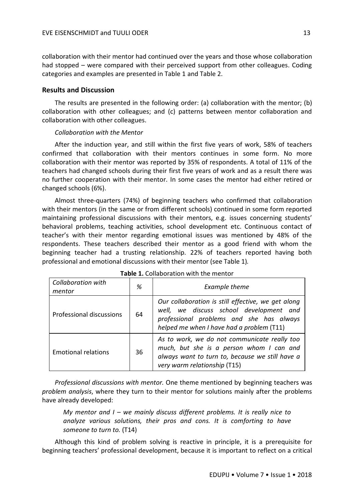collaboration with their mentor had continued over the years and those whose collaboration had stopped – were compared with their perceived support from other colleagues. Coding categories and examples are presented in Table 1 and Table 2.

## **Results and Discussion**

The results are presented in the following order: (a) collaboration with the mentor; (b) collaboration with other colleagues; and (c) patterns between mentor collaboration and collaboration with other colleagues.

## *Collaboration with the Mentor*

After the induction year, and still within the first five years of work, 58% of teachers confirmed that collaboration with their mentors continues in some form. No more collaboration with their mentor was reported by 35% of respondents. A total of 11% of the teachers had changed schools during their first five years of work and as a result there was no further cooperation with their mentor. In some cases the mentor had either retired or changed schools (6%).

Almost three-quarters (74%) of beginning teachers who confirmed that collaboration with their mentors (in the same or from different schools) continued in some form reported maintaining professional discussions with their mentors, e.g. issues concerning students' behavioral problems, teaching activities, school development etc. Continuous contact of teacher's with their mentor regarding emotional issues was mentioned by 48% of the respondents. These teachers described their mentor as a good friend with whom the beginning teacher had a trusting relationship. 22% of teachers reported having both professional and emotional discussions with their mentor (see Table 1)*.*

| <b>Collaboration with</b><br>mentor | %  | Example theme                                                                                                                                                                          |
|-------------------------------------|----|----------------------------------------------------------------------------------------------------------------------------------------------------------------------------------------|
| Professional discussions            | 64 | Our collaboration is still effective, we get along<br>well, we discuss school development and<br>professional problems and she has always<br>helped me when I have had a problem (T11) |
| <b>Emotional relations</b>          | 36 | As to work, we do not communicate really too<br>much, but she is a person whom I can and<br>always want to turn to, because we still have a<br>very warm relationship (T15)            |

| Table 1. Collaboration with the mentor |
|----------------------------------------|
|                                        |

*Professional discussions with mentor.* One theme mentioned by beginning teachers was *problem analysis*, where they turn to their mentor for solutions mainly after the problems have already developed:

*My mentor and I – we mainly discuss different problems. It is really nice to analyze various solutions, their pros and cons. It is comforting to have someone to turn to.* (T14)

Although this kind of problem solving is reactive in principle, it is a prerequisite for beginning teachers' professional development, because it is important to reflect on a critical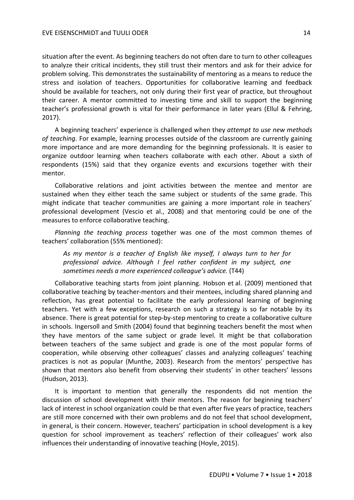situation after the event. As beginning teachers do not often dare to turn to other colleagues to analyze their critical incidents, they still trust their mentors and ask for their advice for problem solving. This demonstrates the sustainability of mentoring as a means to reduce the stress and isolation of teachers. Opportunities for collaborative learning and feedback should be available for teachers, not only during their first year of practice, but throughout their career. A mentor committed to investing time and skill to support the beginning teacher's professional growth is vital for their performance in later years (Ellul & Fehring, 2017).

A beginning teachers' experience is challenged when they *attempt to use new methods of teaching*. For example, learning processes outside of the classroom are currently gaining more importance and are more demanding for the beginning professionals. It is easier to organize outdoor learning when teachers collaborate with each other. About a sixth of respondents (15%) said that they organize events and excursions together with their mentor.

Collaborative relations and joint activities between the mentee and mentor are sustained when they either teach the same subject or students of the same grade. This might indicate that teacher communities are gaining a more important role in teachers' professional development (Vescio et al., 2008) and that mentoring could be one of the measures to enforce collaborative teaching.

*Planning the teaching process* together was one of the most common themes of teachers' collaboration (55% mentioned):

*As my mentor is a teacher of English like myself, I always turn to her for professional advice. Although I feel rather confident in my subject, one sometimes needs a more experienced colleague's advice.* (T44)

Collaborative teaching starts from joint planning. Hobson et al. (2009) mentioned that collaborative teaching by teacher-mentors and their mentees, including shared planning and reflection, has great potential to facilitate the early professional learning of beginning teachers. Yet with a few exceptions, research on such a strategy is so far notable by its absence. There is great potential for step-by-step mentoring to create a collaborative culture in schools. Ingersoll and Smith (2004) found that beginning teachers benefit the most when they have mentors of the same subject or grade level. It might be that collaboration between teachers of the same subject and grade is one of the most popular forms of cooperation, while observing other colleagues' classes and analyzing colleagues' teaching practices is not as popular (Munthe, 2003). Research from the mentors' perspective has shown that mentors also benefit from observing their students' in other teachers' lessons (Hudson, 2013).

It is important to mention that generally the respondents did not mention the discussion of school development with their mentors. The reason for beginning teachers' lack of interest in school organization could be that even after five years of practice, teachers are still more concerned with their own problems and do not feel that school development, in general, is their concern. However, teachers' participation in school development is a key question for school improvement as teachers' reflection of their colleagues' work also influences their understanding of innovative teaching (Hoyle, 2015).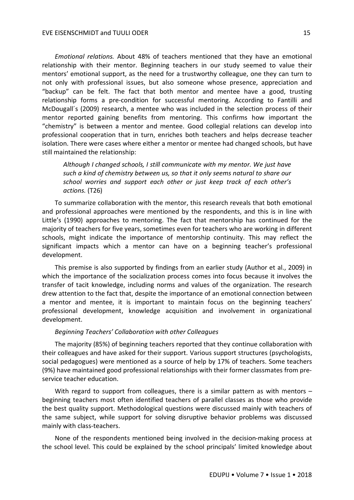*Emotional relations.* About 48% of teachers mentioned that they have an emotional relationship with their mentor. Beginning teachers in our study seemed to value their mentors' emotional support, as the need for a trustworthy colleague, one they can turn to not only with professional issues, but also someone whose presence, appreciation and "backup" can be felt. The fact that both mentor and mentee have a good, trusting relationship forms a pre-condition for successful mentoring. According to Fantilli and McDougall´s (2009) research, a mentee who was included in the selection process of their mentor reported gaining benefits from mentoring. This confirms how important the "chemistry" is between a mentor and mentee. Good collegial relations can develop into professional cooperation that in turn, enriches both teachers and helps decrease teacher isolation. There were cases where either a mentor or mentee had changed schools, but have still maintained the relationship:

*Although I changed schools, I still communicate with my mentor. We just have such a kind of chemistry between us, so that it only seems natural to share our school worries and support each other or just keep track of each other's actions.* (T26)

To summarize collaboration with the mentor, this research reveals that both emotional and professional approaches were mentioned by the respondents, and this is in line with Little's (1990) approaches to mentoring. The fact that mentorship has continued for the majority of teachers for five years, sometimes even for teachers who are working in different schools, might indicate the importance of mentorship continuity. This may reflect the significant impacts which a mentor can have on a beginning teacher's professional development.

This premise is also supported by findings from an earlier study (Author et al., 2009) in which the importance of the socialization process comes into focus because it involves the transfer of tacit knowledge, including norms and values of the organization. The research drew attention to the fact that, despite the importance of an emotional connection between a mentor and mentee, it is important to maintain focus on the beginning teachers' professional development, knowledge acquisition and involvement in organizational development.

#### *Beginning Teachers' Collaboration with other Colleagues*

The majority (85%) of beginning teachers reported that they continue collaboration with their colleagues and have asked for their support. Various support structures (psychologists, social pedagogues) were mentioned as a source of help by 17% of teachers. Some teachers (9%) have maintained good professional relationships with their former classmates from preservice teacher education.

With regard to support from colleagues, there is a similar pattern as with mentors – beginning teachers most often identified teachers of parallel classes as those who provide the best quality support. Methodological questions were discussed mainly with teachers of the same subject, while support for solving disruptive behavior problems was discussed mainly with class-teachers.

None of the respondents mentioned being involved in the decision-making process at the school level. This could be explained by the school principals' limited knowledge about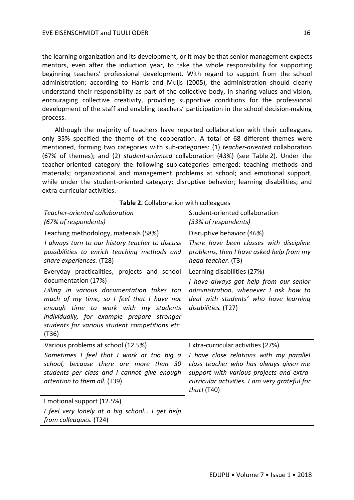the learning organization and its development, or it may be that senior management expects mentors, even after the induction year, to take the whole responsibility for supporting beginning teachers' professional development. With regard to support from the school administration; according to Harris and Muijs (2005), the administration should clearly understand their responsibility as part of the collective body, in sharing values and vision, encouraging collective creativity, providing supportive conditions for the professional development of the staff and enabling teachers' participation in the school decision-making process.

Although the majority of teachers have reported collaboration with their colleagues, only 35% specified the theme of the cooperation. A total of 68 different themes were mentioned, forming two categories with sub-categories: (1) *teacher-oriented* collaboration (67% of themes); and (2) *student-oriented* collaboration (43%) (see Table 2). Under the teacher-oriented category the following sub-categories emerged: teaching methods and materials; organizational and management problems at school; and emotional support, while under the student-oriented category: disruptive behavior; learning disabilities; and extra-curricular activities.

| Teacher-oriented collaboration<br>(67% of respondents)                                                                                                                                                                                                                                                           | Student-oriented collaboration<br>(33% of respondents)                                                                                                                                                                            |  |
|------------------------------------------------------------------------------------------------------------------------------------------------------------------------------------------------------------------------------------------------------------------------------------------------------------------|-----------------------------------------------------------------------------------------------------------------------------------------------------------------------------------------------------------------------------------|--|
| Teaching methodology, materials (58%)<br>I always turn to our history teacher to discuss<br>possibilities to enrich teaching methods and<br>share experiences. (T28)                                                                                                                                             | Disruptive behavior (46%)<br>There have been classes with discipline<br>problems, then I have asked help from my<br>head-teacher. (T3)                                                                                            |  |
| Everyday practicalities, projects and school<br>documentation (17%)<br>Filling in various documentation takes too<br>much of my time, so I feel that I have not<br>enough time to work with my students<br>individually, for example prepare stronger<br>students for various student competitions etc.<br>(T36) | Learning disabilities (27%)<br>I have always got help from our senior<br>administration, whenever I ask how to<br>deal with students' who have learning<br>disabilities. (T27)                                                    |  |
| Various problems at school (12.5%)<br>Sometimes I feel that I work at too big a<br>school, because there are more than 30<br>students per class and I cannot give enough<br>attention to them all. (T39)                                                                                                         | Extra-curricular activities (27%)<br>I have close relations with my parallel<br>class teacher who has always given me<br>support with various projects and extra-<br>curricular activities. I am very grateful for<br>that! (T40) |  |
| Emotional support (12.5%)<br>I feel very lonely at a big school I get help<br>from colleagues. (T24)                                                                                                                                                                                                             |                                                                                                                                                                                                                                   |  |

| Table 2. Collaboration with colleagues |  |  |
|----------------------------------------|--|--|
|----------------------------------------|--|--|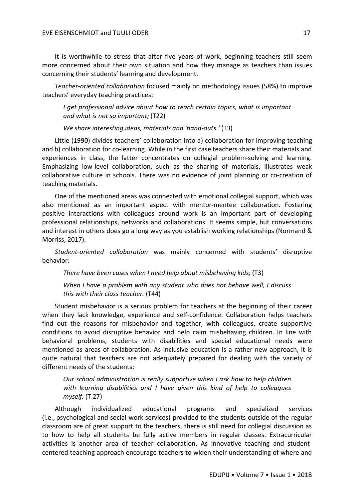It is worthwhile to stress that after five years of work, beginning teachers still seem more concerned about their own situation and how they manage as teachers than issues concerning their students' learning and development.

*Teacher-oriented collaboration* focused mainly on methodology issues (58%) to improve teachers' everyday teaching practices:

*I get professional advice about how to teach certain topics, what is important and what is not so important;* (T22)

*We share interesting ideas, materials and 'hand-outs.'* (T3)

Little (1990) divides teachers' collaboration into a) collaboration for improving teaching and b) collaboration for co-learning. While in the first case teachers share their materials and experiences in class, the latter concentrates on collegial problem-solving and learning. Emphasizing low-level collaboration, such as the sharing of materials, illustrates weak collaborative culture in schools. There was no evidence of joint planning or co-creation of teaching materials.

One of the mentioned areas was connected with emotional collegial support, which was also mentioned as an important aspect with mentor-mentee collaboration. Fostering positive interactions with colleagues around work is an important part of developing professional relationships, networks and collaborations. It seems simple, but conversations and interest in others does go a long way as you establish working relationships (Normand & Morriss, 2017).

*Student-oriented collaboration* was mainly concerned with students' disruptive behavior:

*There have been cases when I need help about misbehaving kids;* (T3)

*When I have a problem with any student who does not behave well, I discuss this with their class teacher.* (T44)

Student misbehavior is a serious problem for teachers at the beginning of their career when they lack knowledge, experience and self-confidence. Collaboration helps teachers find out the reasons for misbehavior and together, with colleagues, create supportive conditions to avoid disruptive behavior and help calm misbehaving children. In line with behavioral problems, students with disabilities and special educational needs were mentioned as areas of collaboration. As inclusive education is a rather new approach, it is quite natural that teachers are not adequately prepared for dealing with the variety of different needs of the students:

*Our school administration is really supportive when I ask how to help children with learning disabilities and I have given this kind of help to colleagues myself.* (T 27)

Although individualized educational programs and specialized services (i.e., psychological and social-work services) provided to the students outside of the regular classroom are of great support to the teachers, there is still need for collegial discussion as to how to help all students be fully active members in regular classes. Extracurricular activities is another area of teacher collaboration. As innovative teaching and studentcentered teaching approach encourage teachers to widen their understanding of where and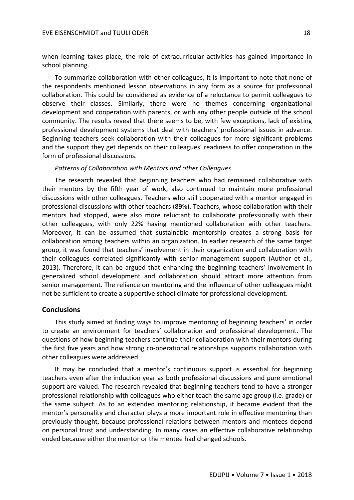when learning takes place, the role of extracurricular activities has gained importance in school planning.

To summarize collaboration with other colleagues, it is important to note that none of the respondents mentioned lesson observations in any form as a source for professional collaboration. This could be considered as evidence of a reluctance to permit colleagues to observe their classes. Similarly, there were no themes concerning organizational development and cooperation with parents, or with any other people outside of the school community. The results reveal that there seems to be, with few exceptions, lack of existing professional development systems that deal with teachers' professional issues in advance. Beginning teachers seek collaboration with their colleagues for more significant problems and the support they get depends on their colleagues' readiness to offer cooperation in the form of professional discussions.

## *Patterns of Collaboration with Mentors and other Colleagues*

The research revealed that beginning teachers who had remained collaborative with their mentors by the fifth year of work, also continued to maintain more professional discussions with other colleagues. Teachers who still cooperated with a mentor engaged in professional discussions with other teachers (89%). Teachers, whose collaboration with their mentors had stopped, were also more reluctant to collaborate professionally with their other colleagues, with only 22% having mentioned collaboration with other teachers. Moreover, it can be assumed that sustainable mentorship creates a strong basis for collaboration among teachers within an organization. In earlier research of the same target group, it was found that teachers' involvement in their organization and collaboration with their colleagues correlated significantly with senior management support (Author et al., 2013). Therefore, it can be argued that enhancing the beginning teachers' involvement in generalized school development and collaboration should attract more attention from senior management. The reliance on mentoring and the influence of other colleagues might not be sufficient to create a supportive school climate for professional development.

## **Conclusions**

This study aimed at finding ways to improve mentoring of beginning teachers' in order to create an environment for teachers' collaboration and professional development. The questions of how beginning teachers continue their collaboration with their mentors during the first five years and how strong co-operational relationships supports collaboration with other colleagues were addressed.

It may be concluded that a mentor's continuous support is essential for beginning teachers even after the induction year as both professional discussions and pure emotional support are valued. The research revealed that beginning teachers tend to have a stronger professional relationship with colleagues who either teach the same age group (i.e. grade) or the same subject. As to an extended mentoring relationship, it became evident that the mentor's personality and character plays a more important role in effective mentoring than previously thought, because professional relations between mentors and mentees depend on personal trust and understanding. In many cases an effective collaborative relationship ended because either the mentor or the mentee had changed schools.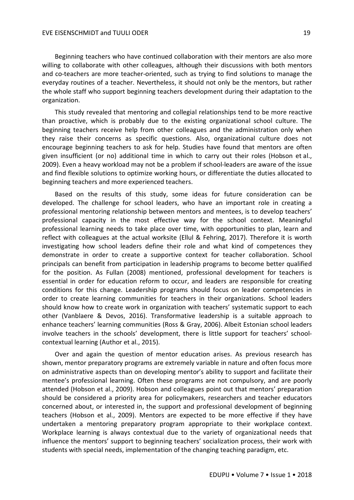Beginning teachers who have continued collaboration with their mentors are also more willing to collaborate with other colleagues, although their discussions with both mentors and co-teachers are more teacher-oriented, such as trying to find solutions to manage the everyday routines of a teacher. Nevertheless, it should not only be the mentors, but rather the whole staff who support beginning teachers development during their adaptation to the organization.

This study revealed that mentoring and collegial relationships tend to be more reactive than proactive, which is probably due to the existing organizational school culture. The beginning teachers receive help from other colleagues and the administration only when they raise their concerns as specific questions. Also, organizational culture does not encourage beginning teachers to ask for help. Studies have found that mentors are often given insufficient (or no) additional time in which to carry out their roles (Hobson et al., 2009). Even a heavy workload may not be a problem if school-leaders are aware of the issue and find flexible solutions to optimize working hours, or differentiate the duties allocated to beginning teachers and more experienced teachers.

Based on the results of this study, some ideas for future consideration can be developed. The challenge for school leaders, who have an important role in creating a professional mentoring relationship between mentors and mentees, is to develop teachers' professional capacity in the most effective way for the school context. Meaningful professional learning needs to take place over time, with opportunities to plan, learn and reflect with colleagues at the actual worksite (Ellul & Fehring, 2017). Therefore it is worth investigating how school leaders define their role and what kind of competences they demonstrate in order to create a supportive context for teacher collaboration. School principals can benefit from participation in leadership programs to become better qualified for the position. As Fullan (2008) mentioned, professional development for teachers is essential in order for education reform to occur, and leaders are responsible for creating conditions for this change. Leadership programs should focus on leader competencies in order to create learning communities for teachers in their organizations. School leaders should know how to create work in organization with teachers' systematic support to each other (Vanblaere & Devos, 2016). Transformative leadership is a suitable approach to enhance teachers' learning communities (Ross & Gray, 2006). Albeit Estonian school leaders involve teachers in the schools' development, there is little support for teachers' schoolcontextual learning (Author et al., 2015).

Over and again the question of mentor education arises. As previous research has shown, mentor preparatory programs are extremely variable in nature and often focus more on administrative aspects than on developing mentor's ability to support and facilitate their mentee's professional learning. Often these programs are not compulsory, and are poorly attended (Hobson et al., 2009). Hobson and colleagues point out that mentors' preparation should be considered a priority area for policymakers, researchers and teacher educators concerned about, or interested in, the support and professional development of beginning teachers (Hobson et al., 2009). Mentors are expected to be more effective if they have undertaken a mentoring preparatory program appropriate to their workplace context. Workplace learning is always contextual due to the variety of organizational needs that influence the mentors' support to beginning teachers' socialization process, their work with students with special needs, implementation of the changing teaching paradigm, etc.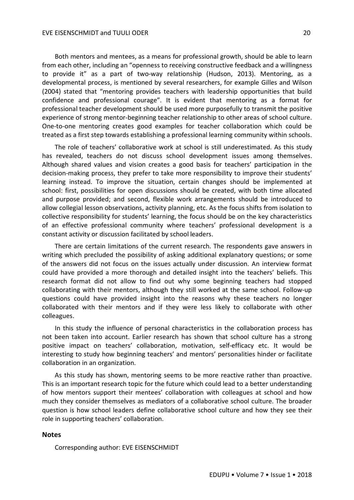Both mentors and mentees, as a means for professional growth, should be able to learn from each other, including an "openness to receiving constructive feedback and a willingness to provide it" as a part of two-way relationship (Hudson, 2013). Mentoring, as a developmental process, is mentioned by several researchers, for example Gilles and Wilson (2004) stated that "mentoring provides teachers with leadership opportunities that build confidence and professional courage". It is evident that mentoring as a format for professional teacher development should be used more purposefully to transmit the positive experience of strong mentor-beginning teacher relationship to other areas of school culture. One-to-one mentoring creates good examples for teacher collaboration which could be treated as a first step towards establishing a professional learning community within schools.

The role of teachers' collaborative work at school is still underestimated. As this study has revealed, teachers do not discuss school development issues among themselves. Although shared values and vision creates a good basis for teachers' participation in the decision-making process, they prefer to take more responsibility to improve their students' learning instead. To improve the situation, certain changes should be implemented at school: first, possibilities for open discussions should be created, with both time allocated and purpose provided; and second, flexible work arrangements should be introduced to allow collegial lesson observations, activity planning, etc. As the focus shifts from isolation to collective responsibility for students' learning, the focus should be on the key characteristics of an effective professional community where teachers' professional development is a constant activity or discussion facilitated by school leaders.

There are certain limitations of the current research. The respondents gave answers in writing which precluded the possibility of asking additional explanatory questions; or some of the answers did not focus on the issues actually under discussion. An interview format could have provided a more thorough and detailed insight into the teachers' beliefs. This research format did not allow to find out why some beginning teachers had stopped collaborating with their mentors, although they still worked at the same school. Follow-up questions could have provided insight into the reasons why these teachers no longer collaborated with their mentors and if they were less likely to collaborate with other colleagues.

In this study the influence of personal characteristics in the collaboration process has not been taken into account. Earlier research has shown that school culture has a strong positive impact on teachers' collaboration, motivation, self-efficacy etc. It would be interesting to study how beginning teachers' and mentors' personalities hinder or facilitate collaboration in an organization.

As this study has shown, mentoring seems to be more reactive rather than proactive. This is an important research topic for the future which could lead to a better understanding of how mentors support their mentees' collaboration with colleagues at school and how much they consider themselves as mediators of a collaborative school culture. The broader question is how school leaders define collaborative school culture and how they see their role in supporting teachers' collaboration.

#### **Notes**

Corresponding author: EVE EISENSCHMIDT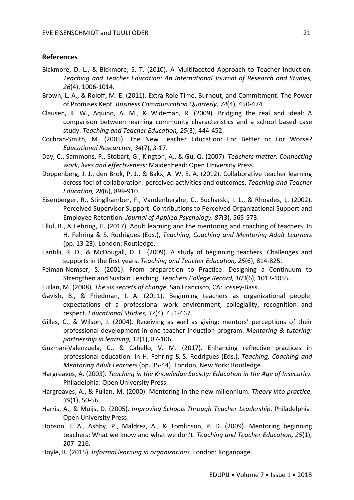## **References**

- Bickmore, D. L., & Bickmore, S. T. (2010). A Multifaceted Approach to Teacher Induction. *Teaching and Teacher Education: An International Journal of Research and Studies, 26*(4), 1006-1014.
- Brown, L. A., & Roloff, M. E. (2011). Extra-Role Time, Burnout, and Commitment: The Power of Promises Kept. *Business Communication Quarterly, 74*(4), 450-474.
- Clausen, K. W., Aquino, A. M., & Wideman, R. (2009). Bridging the real and ideal: A comparison between learning community characteristics and a school based case study. *Teaching and Teacher Education, 25*(3), 444-452.
- Cochran-Smith, M. (2005). The New Teacher Education: For Better or For Worse? *Educational Researcher, 34*(7), 3-17.
- Day, C., Sammons, P., Stobart, G., Kington, A., & Gu, Q. (2007). *Teachers matter: Connecting work, lives and effectiveness:* Maidenhead: Open University Press.
- Doppenberg, J. J., den Brok, P. J., & Bakx, A. W. E. A. (2012). Collaborative teacher learning across foci of collaboration: perceived activities and outcomes. *Teaching and Teacher Education, 28*(6), 899-910.
- Eisenberger, R., Stinglhamber, F., Vandenberghe, C., Sucharski, I. L., & Rhoades, L. (2002). Perceived Supervisor Support: Contributions to Perceived Organizational Support and Employee Retention. *Journal of Applied Psychology, 87*(3), 565-573.
- Ellul, R., & Fehring, H. (2017). Adult learning and the mentoring and coaching of teachers. In H. Fehring & S. Rodrigues (Eds.), *Teaching, Coaching and Mentoring Adult Learners* (pp. 13-23). London: Routledge.
- Fantilli, R. D., & McDougall, D. E. (2009). A study of beginning teachers. Challenges and supports in the first years. *Teaching and Teacher Education, 25*(6), 814-825.
- Feiman-Nemser, S. (2001). From preparation to Practice: Designing a Continuum to Strengthen and Sustain Teaching*. Teachers College Record, 103*(6), 1013-1055.
- Fullan, M. (2008). *The six secrets of change*. San Francisco, CA: Jossey-Bass.
- Gavish, B., & Friedman, I. A. (2011). Beginning teachers as organizational people: expectations of a professional work environment, collegiality, recognition and respect*. Educational Studies, 37*(4), 451-467.
- Gilles, C., & Wilson, J. (2004). Receiving as well as giving: mentors' perceptions of their professional development in one teacher induction program. *Mentoring & tutoring: partnership in learning, 12*(1), 87-106.
- Guzman-Valenzuela, C., & Cabello, V. M. (2017). Enhancing reflective practices in professional education. In H. Fehring & S. Rodrigues (Eds.), *Teaching, Coaching and Mentoring Adult Learners* (pp. 35-44). London, New York: Routledge.
- Hargreaves, A. (2003). *Teaching in the Knowledge Society: Education in the Age of Insecurity.*  Philadelphia: Open University Press.
- Hargreaves, A., & Fullan, M. (2000). Mentoring in the new millennium. *Theory into practice, 39*(1), 50-56.
- Harris, A., & Muijs, D. (2005). *Improving Schools Through Teacher Leadership*. Philadelphia: Open University Press.
- Hobson, J. A., Ashby, P., Maldrez, A., & Tomlinson, P. D. (2009). Mentoring beginning teachers: What we know and what we don't. *Teaching and Teacher Education, 25*(1), 207- 216.
- Hoyle, R. (2015). *Informal learning in organizations.* London: Koganpage.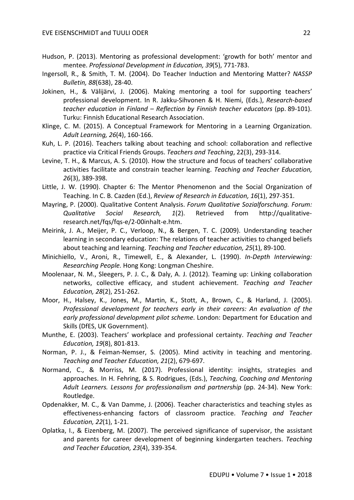- Hudson, P. (2013). Mentoring as professional development: 'growth for both' mentor and mentee. *Professional Development in Education, 39*(5), 771-783.
- Ingersoll, R., & Smith, T. M. (2004). Do Teacher Induction and Mentoring Matter? *NASSP Bulletin, 88*(638), 28-40.
- Jokinen, H., & Välijärvi, J. (2006). Making mentoring a tool for supporting teachers' professional development. In R. Jakku-Sihvonen & H. Niemi, (Eds.), *Research-based teacher education in Finland – Reflection by Finnish teacher educators* (pp. 89-101). Turku: Finnish Educational Research Association.
- Klinge, C. M. (2015). A Conceptual Framework for Mentoring in a Learning Organization. *Adult Learning, 26*(4), 160-166.
- Kuh, L. P. (2016). Teachers talking about teaching and school: collaboration and reflective practice via Critical Friends Groups. *Teachers and Teaching*, 22(3), 293-314.
- Levine, T. H., & Marcus, A. S. (2010). How the structure and focus of teachers' collaborative activities facilitate and constrain teacher learning. *Teaching and Teacher Education, 26*(3), 389-398.
- Little, J. W. (1990). Chapter 6: The Mentor Phenomenon and the Social Organization of Teaching. In C. B. Cazden (Ed.), *Review of Research in Education, 16*(1), 297-351.
- Mayring, P. (2000). Qualitative Content Analysis. *Forum Qualitative Sozialforschung. Forum: Qualitative Social Research, 1*(2). Retrieved from http://qualitativeresearch.net/fqs/fqs-e/2-00inhalt-e.htm.
- Meirink, J. A., Meijer, P. C., Verloop, N., & Bergen, T. C. (2009). Understanding teacher learning in secondary education: The relations of teacher activities to changed beliefs about teaching and learning. *Teaching and Teacher education, 25*(1), 89-100.
- Minichiello, V., Aroni, R., Timewell, E., & Alexander, L. (1990). *In-Depth Interviewing: Researching People.* Hong Kong: Longman Cheshire.
- Moolenaar, N. M., Sleegers, P. J. C., & Daly, A. J. (2012). Teaming up: Linking collaboration networks, collective efficacy, and student achievement. *Teaching and Teacher Education, 28*(2), 251-262.
- Moor, H., Halsey, K., Jones, M., Martin, K., Stott, A., Brown, C., & Harland, J. (2005). *Professional development for teachers early in their careers: An evaluation of the early professional development pilot scheme*. London: Department for Education and Skills (DfES, UK Government).
- Munthe, E. (2003). Teachers' workplace and professional certainty. *Teaching and Teacher Education, 19*(8), 801-813.
- Norman, P. J., & Feiman-Nemser, S. (2005). Mind activity in teaching and mentoring. *Teaching and Teacher Education, 21*(2), 679-697.
- Normand, C., & Morriss, M. (2017). Professional identity: insights, strategies and approaches. In H. Fehring, & S. Rodrigues, (Eds.), *Teaching, Coaching and Mentoring Adult Learners. Lessons for professionalism and partnership* (pp. 24-34). New York: Routledge.
- Opdenakker, M. C., & Van Damme, J. (2006). Teacher characteristics and teaching styles as effectiveness-enhancing factors of classroom practice. *Teaching and Teacher Education, 22*(1), 1-21.
- Oplatka, I., & Eizenberg, M. (2007). The perceived significance of supervisor, the assistant and parents for career development of beginning kindergarten teachers. *Teaching and Teacher Education, 23*(4), 339-354.